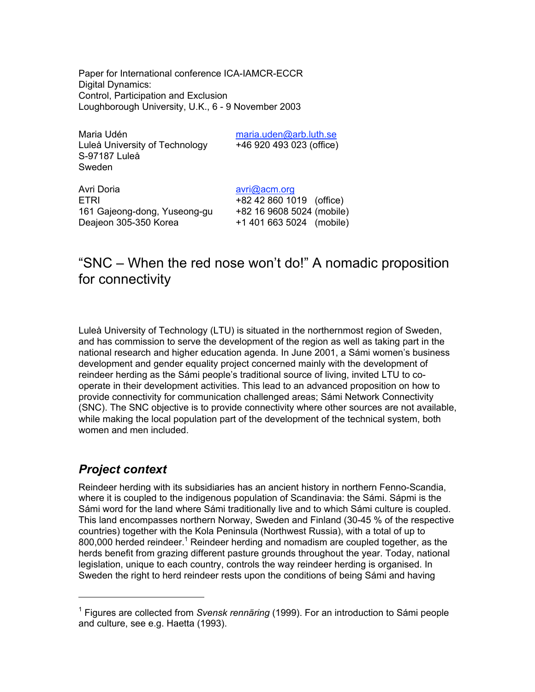Paper for International conference ICA-IAMCR-ECCR Digital Dynamics: Control, Participation and Exclusion Loughborough University, U.K., 6 - 9 November 2003

Maria Udén maria.uden@arb.luth.se Luleå University of Technology +46 920 493 023 (office) S-97187 Luleå Sweden

Avri Doria avri@acm.org ETRI +82 42 860 1019 (office) 161 Gajeong-dong, Yuseong-gu +82 16 9608 5024 (mobile) Deajeon 305-350 Korea +1 401 663 5024 (mobile)

# "SNC – When the red nose won't do!" A nomadic proposition for connectivity

Luleå University of Technology (LTU) is situated in the northernmost region of Sweden, and has commission to serve the development of the region as well as taking part in the national research and higher education agenda. In June 2001, a Sámi women's business development and gender equality project concerned mainly with the development of reindeer herding as the Sámi people's traditional source of living, invited LTU to cooperate in their development activities. This lead to an advanced proposition on how to provide connectivity for communication challenged areas; Sámi Network Connectivity (SNC). The SNC objective is to provide connectivity where other sources are not available, while making the local population part of the development of the technical system, both women and men included.

## *Project context*

Reindeer herding with its subsidiaries has an ancient history in northern Fenno-Scandia, where it is coupled to the indigenous population of Scandinavia: the Sámi. Sápmi is the Sámi word for the land where Sámi traditionally live and to which Sámi culture is coupled. This land encompasses northern Norway, Sweden and Finland (30-45 % of the respective countries) together with the Kola Peninsula (Northwest Russia), with a total of up to 800,000 herded reindeer.<sup>1</sup> Reindeer herding and nomadism are coupled together, as the herds benefit from grazing different pasture grounds throughout the year. Today, national legislation, unique to each country, controls the way reindeer herding is organised. In Sweden the right to herd reindeer rests upon the conditions of being Sámi and having

<sup>&</sup>lt;sup>1</sup> Figures are collected from *Svensk rennäring* (1999). For an introduction to Sámi people and culture, see e.g. Haetta (1993).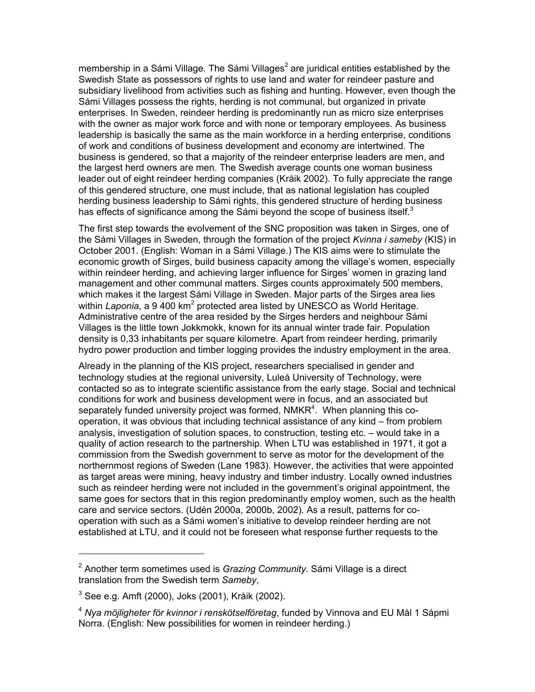membership in a Sámi Village. The Sámi Villages<sup>2</sup> are juridical entities established by the Swedish State as possessors of rights to use land and water for reindeer pasture and subsidiary livelihood from activities such as fishing and hunting. However, even though the Sámi Villages possess the rights, herding is not communal, but organized in private enterprises. In Sweden, reindeer herding is predominantly run as micro size enterprises with the owner as major work force and with none or temporary employees. As business leadership is basically the same as the main workforce in a herding enterprise, conditions of work and conditions of business development and economy are intertwined. The business is gendered, so that a majority of the reindeer enterprise leaders are men, and the largest herd owners are men. The Swedish average counts one woman business leader out of eight reindeer herding companies (Kråik 2002). To fully appreciate the range of this gendered structure, one must include, that as national legislation has coupled herding business leadership to Sámi rights, this gendered structure of herding business has effects of significance among the Sámi beyond the scope of business itself. $3$ 

The first step towards the evolvement of the SNC proposition was taken in Sirges, one of the Sámi Villages in Sweden, through the formation of the project *Kvinna i sameby* (KIS) in October 2001. (English: Woman in a Sámi Village.) The KIS aims were to stimulate the economic growth of Sirges, build business capacity among the village's women, especially within reindeer herding, and achieving larger influence for Sirges' women in grazing land management and other communal matters. Sirges counts approximately 500 members, which makes it the largest Sámi Village in Sweden. Major parts of the Sirges area lies within Laponia, a 9 400 km<sup>2</sup> protected area listed by UNESCO as World Heritage. Administrative centre of the area resided by the Sirges herders and neighbour Sámi Villages is the little town Jokkmokk, known for its annual winter trade fair. Population density is 0,33 inhabitants per square kilometre. Apart from reindeer herding, primarily hydro power production and timber logging provides the industry employment in the area.

Already in the planning of the KIS project, researchers specialised in gender and technology studies at the regional university, Luleå University of Technology, were contacted so as to integrate scientific assistance from the early stage. Social and technical conditions for work and business development were in focus, and an associated but separately funded university project was formed, NMKR<sup>4</sup>. When planning this cooperation, it was obvious that including technical assistance of any kind – from problem analysis, investigation of solution spaces, to construction, testing etc. – would take in a quality of action research to the partnership. When LTU was established in 1971, it got a commission from the Swedish government to serve as motor for the development of the northernmost regions of Sweden (Lane 1983). However, the activities that were appointed as target areas were mining, heavy industry and timber industry. Locally owned industries such as reindeer herding were not included in the government's original appointment, the same goes for sectors that in this region predominantly employ women, such as the health care and service sectors. (Udén 2000a, 2000b, 2002). As a result, patterns for cooperation with such as a Sámi women's initiative to develop reindeer herding are not established at LTU, and it could not be foreseen what response further requests to the

<sup>2</sup> Another term sometimes used is *Grazing Community*. Sámi Village is a direct translation from the Swedish term *Sameby*,

 $^3$  See e.g. Amft (2000), Joks (2001), Kråik (2002).

<sup>4</sup> *Nya möjligheter för kvinnor i renskötselföretag*, funded by Vinnova and EU Mål 1 Sápmi Norra. (English: New possibilities for women in reindeer herding.)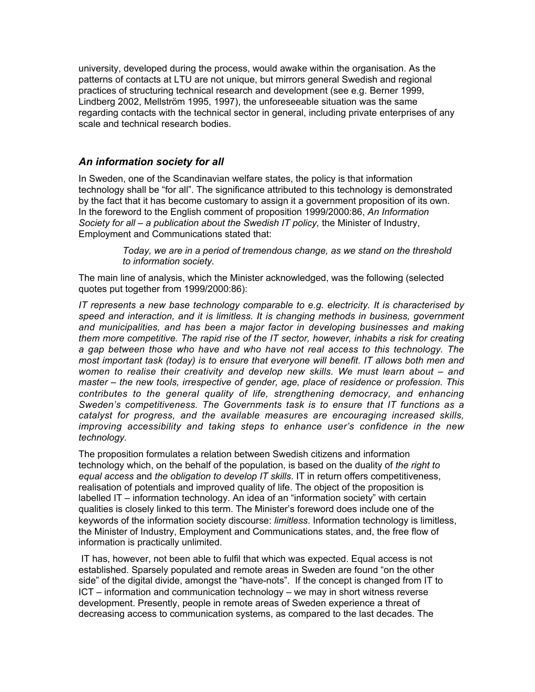university, developed during the process, would awake within the organisation. As the patterns of contacts at LTU are not unique, but mirrors general Swedish and regional practices of structuring technical research and development (see e.g. Berner 1999, Lindberg 2002, Mellström 1995, 1997), the unforeseeable situation was the same regarding contacts with the technical sector in general, including private enterprises of any scale and technical research bodies.

### *An information society for all*

In Sweden, one of the Scandinavian welfare states, the policy is that information technology shall be "for all". The significance attributed to this technology is demonstrated by the fact that it has become customary to assign it a government proposition of its own. In the foreword to the English comment of proposition 1999/2000:86, *An Information Society for all – a publication about the Swedish IT policy,* the Minister of Industry, Employment and Communications stated that:

> *Today, we are in a period of tremendous change, as we stand on the threshold to information society.*

The main line of analysis, which the Minister acknowledged, was the following (selected quotes put together from 1999/2000:86):

*IT represents a new base technology comparable to e.g. electricity. It is characterised by speed and interaction, and it is limitless. It is changing methods in business, government and municipalities, and has been a major factor in developing businesses and making them more competitive. The rapid rise of the IT sector, however, inhabits a risk for creating a gap between those who have and who have not real access to this technology. The most important task (today) is to ensure that everyone will benefit. IT allows both men and women to realise their creativity and develop new skills. We must learn about – and master – the new tools, irrespective of gender, age, place of residence or profession. This contributes to the general quality of life, strengthening democracy, and enhancing Sweden's competitiveness. The Governments task is to ensure that IT functions as a catalyst for progress, and the available measures are encouraging increased skills, improving accessibility and taking steps to enhance user's confidence in the new technology.*

The proposition formulates a relation between Swedish citizens and information technology which, on the behalf of the population, is based on the duality of *the right to equal access* and *the obligation to develop IT skills*. IT in return offers competitiveness, realisation of potentials and improved quality of life. The object of the proposition is labelled IT – information technology. An idea of an "information society" with certain qualities is closely linked to this term. The Minister's foreword does include one of the keywords of the information society discourse: *limitless*. Information technology is limitless, the Minister of Industry, Employment and Communications states, and, the free flow of information is practically unlimited.

 IT has, however, not been able to fulfil that which was expected. Equal access is not established. Sparsely populated and remote areas in Sweden are found "on the other side" of the digital divide, amongst the "have-nots". If the concept is changed from IT to ICT – information and communication technology – we may in short witness reverse development. Presently, people in remote areas of Sweden experience a threat of decreasing access to communication systems, as compared to the last decades. The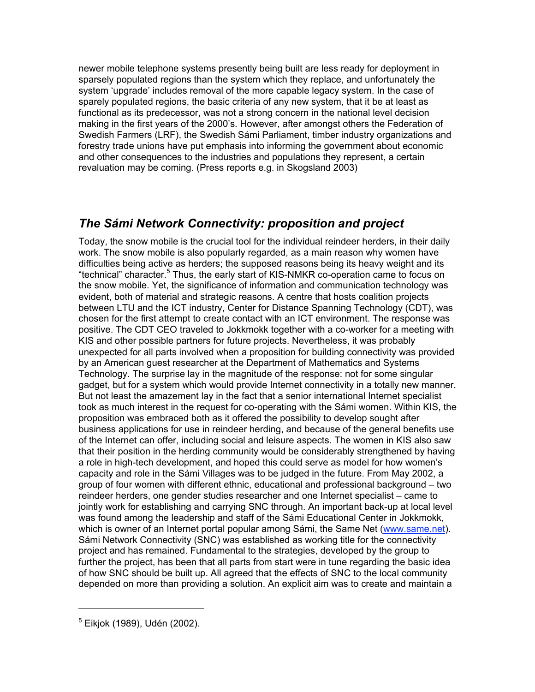newer mobile telephone systems presently being built are less ready for deployment in sparsely populated regions than the system which they replace, and unfortunately the system 'upgrade' includes removal of the more capable legacy system. In the case of sparely populated regions, the basic criteria of any new system, that it be at least as functional as its predecessor, was not a strong concern in the national level decision making in the first years of the 2000's. However, after amongst others the Federation of Swedish Farmers (LRF), the Swedish Sámi Parliament, timber industry organizations and forestry trade unions have put emphasis into informing the government about economic and other consequences to the industries and populations they represent, a certain revaluation may be coming. (Press reports e.g. in Skogsland 2003)

## *The Sámi Network Connectivity: proposition and project*

Today, the snow mobile is the crucial tool for the individual reindeer herders, in their daily work. The snow mobile is also popularly regarded, as a main reason why women have difficulties being active as herders; the supposed reasons being its heavy weight and its "technical" character.<sup>5</sup> Thus, the early start of KIS-NMKR co-operation came to focus on the snow mobile. Yet, the significance of information and communication technology was evident, both of material and strategic reasons. A centre that hosts coalition projects between LTU and the ICT industry, Center for Distance Spanning Technology (CDT), was chosen for the first attempt to create contact with an ICT environment. The response was positive. The CDT CEO traveled to Jokkmokk together with a co-worker for a meeting with KIS and other possible partners for future projects. Nevertheless, it was probably unexpected for all parts involved when a proposition for building connectivity was provided by an American guest researcher at the Department of Mathematics and Systems Technology. The surprise lay in the magnitude of the response: not for some singular gadget, but for a system which would provide Internet connectivity in a totally new manner. But not least the amazement lay in the fact that a senior international Internet specialist took as much interest in the request for co-operating with the Sámi women. Within KIS, the proposition was embraced both as it offered the possibility to develop sought after business applications for use in reindeer herding, and because of the general benefits use of the Internet can offer, including social and leisure aspects. The women in KIS also saw that their position in the herding community would be considerably strengthened by having a role in high-tech development, and hoped this could serve as model for how women's capacity and role in the Sámi Villages was to be judged in the future. From May 2002, a group of four women with different ethnic, educational and professional background – two reindeer herders, one gender studies researcher and one Internet specialist – came to jointly work for establishing and carrying SNC through. An important back-up at local level was found among the leadership and staff of the Sámi Educational Center in Jokkmokk, which is owner of an Internet portal popular among Sámi, the Same Net (www.same.net). Sámi Network Connectivity (SNC) was established as working title for the connectivity project and has remained. Fundamental to the strategies, developed by the group to further the project, has been that all parts from start were in tune regarding the basic idea of how SNC should be built up. All agreed that the effects of SNC to the local community depended on more than providing a solution. An explicit aim was to create and maintain a

<sup>&</sup>lt;sup>5</sup> Eikjok (1989), Udén (2002).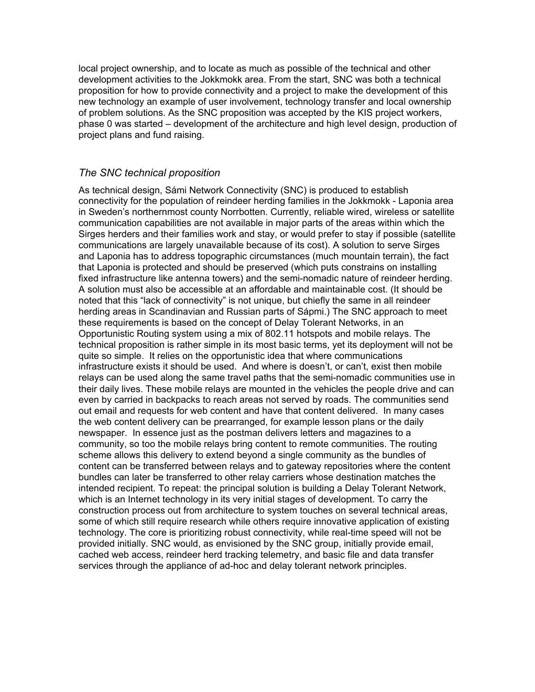local project ownership, and to locate as much as possible of the technical and other development activities to the Jokkmokk area. From the start, SNC was both a technical proposition for how to provide connectivity and a project to make the development of this new technology an example of user involvement, technology transfer and local ownership of problem solutions. As the SNC proposition was accepted by the KIS project workers, phase 0 was started – development of the architecture and high level design, production of project plans and fund raising.

### *The SNC technical proposition*

As technical design, Sámi Network Connectivity (SNC) is produced to establish connectivity for the population of reindeer herding families in the Jokkmokk - Laponia area in Sweden's northernmost county Norrbotten. Currently, reliable wired, wireless or satellite communication capabilities are not available in major parts of the areas within which the Sirges herders and their families work and stay, or would prefer to stay if possible (satellite communications are largely unavailable because of its cost). A solution to serve Sirges and Laponia has to address topographic circumstances (much mountain terrain), the fact that Laponia is protected and should be preserved (which puts constrains on installing fixed infrastructure like antenna towers) and the semi-nomadic nature of reindeer herding. A solution must also be accessible at an affordable and maintainable cost. (It should be noted that this "lack of connectivity" is not unique, but chiefly the same in all reindeer herding areas in Scandinavian and Russian parts of Sápmi.) The SNC approach to meet these requirements is based on the concept of Delay Tolerant Networks, in an Opportunistic Routing system using a mix of 802.11 hotspots and mobile relays. The technical proposition is rather simple in its most basic terms, yet its deployment will not be quite so simple. It relies on the opportunistic idea that where communications infrastructure exists it should be used. And where is doesn't, or can't, exist then mobile relays can be used along the same travel paths that the semi-nomadic communities use in their daily lives. These mobile relays are mounted in the vehicles the people drive and can even by carried in backpacks to reach areas not served by roads. The communities send out email and requests for web content and have that content delivered. In many cases the web content delivery can be prearranged, for example lesson plans or the daily newspaper. In essence just as the postman delivers letters and magazines to a community, so too the mobile relays bring content to remote communities. The routing scheme allows this delivery to extend beyond a single community as the bundles of content can be transferred between relays and to gateway repositories where the content bundles can later be transferred to other relay carriers whose destination matches the intended recipient. To repeat: the principal solution is building a Delay Tolerant Network, which is an Internet technology in its very initial stages of development. To carry the construction process out from architecture to system touches on several technical areas, some of which still require research while others require innovative application of existing technology. The core is prioritizing robust connectivity, while real-time speed will not be provided initially. SNC would, as envisioned by the SNC group, initially provide email, cached web access, reindeer herd tracking telemetry, and basic file and data transfer services through the appliance of ad-hoc and delay tolerant network principles.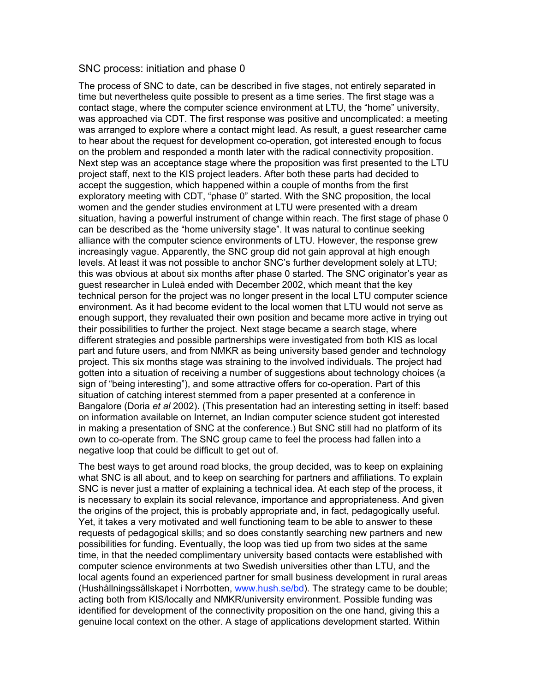#### SNC process: initiation and phase 0

The process of SNC to date, can be described in five stages, not entirely separated in time but nevertheless quite possible to present as a time series. The first stage was a contact stage, where the computer science environment at LTU, the "home" university, was approached via CDT. The first response was positive and uncomplicated: a meeting was arranged to explore where a contact might lead. As result, a guest researcher came to hear about the request for development co-operation, got interested enough to focus on the problem and responded a month later with the radical connectivity proposition. Next step was an acceptance stage where the proposition was first presented to the LTU project staff, next to the KIS project leaders. After both these parts had decided to accept the suggestion, which happened within a couple of months from the first exploratory meeting with CDT, "phase 0" started. With the SNC proposition, the local women and the gender studies environment at LTU were presented with a dream situation, having a powerful instrument of change within reach. The first stage of phase 0 can be described as the "home university stage". It was natural to continue seeking alliance with the computer science environments of LTU. However, the response grew increasingly vague. Apparently, the SNC group did not gain approval at high enough levels. At least it was not possible to anchor SNC's further development solely at LTU; this was obvious at about six months after phase 0 started. The SNC originator's year as guest researcher in Luleå ended with December 2002, which meant that the key technical person for the project was no longer present in the local LTU computer science environment. As it had become evident to the local women that LTU would not serve as enough support, they revaluated their own position and became more active in trying out their possibilities to further the project. Next stage became a search stage, where different strategies and possible partnerships were investigated from both KIS as local part and future users, and from NMKR as being university based gender and technology project. This six months stage was straining to the involved individuals. The project had gotten into a situation of receiving a number of suggestions about technology choices (a sign of "being interesting"), and some attractive offers for co-operation. Part of this situation of catching interest stemmed from a paper presented at a conference in Bangalore (Doria *et al* 2002). (This presentation had an interesting setting in itself: based on information available on Internet, an Indian computer science student got interested in making a presentation of SNC at the conference.) But SNC still had no platform of its own to co-operate from. The SNC group came to feel the process had fallen into a negative loop that could be difficult to get out of.

The best ways to get around road blocks, the group decided, was to keep on explaining what SNC is all about, and to keep on searching for partners and affiliations. To explain SNC is never just a matter of explaining a technical idea. At each step of the process, it is necessary to explain its social relevance, importance and appropriateness. And given the origins of the project, this is probably appropriate and, in fact, pedagogically useful. Yet, it takes a very motivated and well functioning team to be able to answer to these requests of pedagogical skills; and so does constantly searching new partners and new possibilities for funding. Eventually, the loop was tied up from two sides at the same time, in that the needed complimentary university based contacts were established with computer science environments at two Swedish universities other than LTU, and the local agents found an experienced partner for small business development in rural areas (Hushållningssällskapet i Norrbotten, www.hush.se/bd). The strategy came to be double; acting both from KIS/locally and NMKR/university environment. Possible funding was identified for development of the connectivity proposition on the one hand, giving this a genuine local context on the other. A stage of applications development started. Within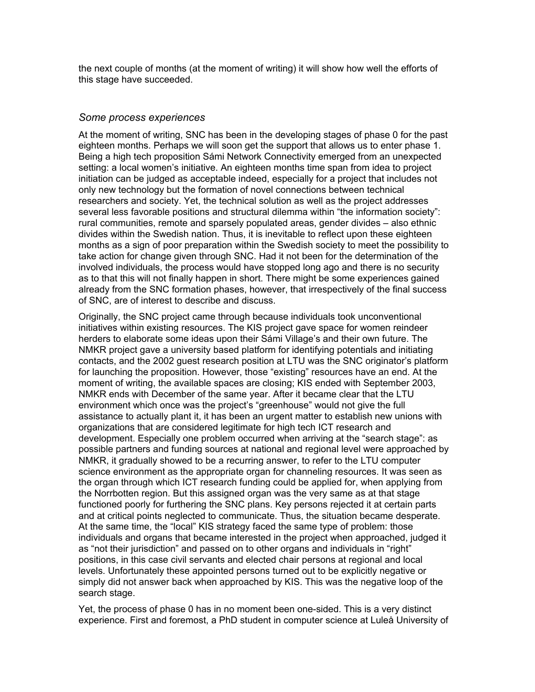the next couple of months (at the moment of writing) it will show how well the efforts of this stage have succeeded.

#### *Some process experiences*

At the moment of writing, SNC has been in the developing stages of phase 0 for the past eighteen months. Perhaps we will soon get the support that allows us to enter phase 1. Being a high tech proposition Sámi Network Connectivity emerged from an unexpected setting: a local women's initiative. An eighteen months time span from idea to project initiation can be judged as acceptable indeed, especially for a project that includes not only new technology but the formation of novel connections between technical researchers and society. Yet, the technical solution as well as the project addresses several less favorable positions and structural dilemma within "the information society": rural communities, remote and sparsely populated areas, gender divides – also ethnic divides within the Swedish nation. Thus, it is inevitable to reflect upon these eighteen months as a sign of poor preparation within the Swedish society to meet the possibility to take action for change given through SNC. Had it not been for the determination of the involved individuals, the process would have stopped long ago and there is no security as to that this will not finally happen in short. There might be some experiences gained already from the SNC formation phases, however, that irrespectively of the final success of SNC, are of interest to describe and discuss.

Originally, the SNC project came through because individuals took unconventional initiatives within existing resources. The KIS project gave space for women reindeer herders to elaborate some ideas upon their Sámi Village's and their own future. The NMKR project gave a university based platform for identifying potentials and initiating contacts, and the 2002 guest research position at LTU was the SNC originator's platform for launching the proposition. However, those "existing" resources have an end. At the moment of writing, the available spaces are closing; KIS ended with September 2003, NMKR ends with December of the same year. After it became clear that the LTU environment which once was the project's "greenhouse" would not give the full assistance to actually plant it, it has been an urgent matter to establish new unions with organizations that are considered legitimate for high tech ICT research and development. Especially one problem occurred when arriving at the "search stage": as possible partners and funding sources at national and regional level were approached by NMKR, it gradually showed to be a recurring answer, to refer to the LTU computer science environment as the appropriate organ for channeling resources. It was seen as the organ through which ICT research funding could be applied for, when applying from the Norrbotten region. But this assigned organ was the very same as at that stage functioned poorly for furthering the SNC plans. Key persons rejected it at certain parts and at critical points neglected to communicate. Thus, the situation became desperate. At the same time, the "local" KIS strategy faced the same type of problem: those individuals and organs that became interested in the project when approached, judged it as "not their jurisdiction" and passed on to other organs and individuals in "right" positions, in this case civil servants and elected chair persons at regional and local levels. Unfortunately these appointed persons turned out to be explicitly negative or simply did not answer back when approached by KIS. This was the negative loop of the search stage.

Yet, the process of phase 0 has in no moment been one-sided. This is a very distinct experience. First and foremost, a PhD student in computer science at Luleå University of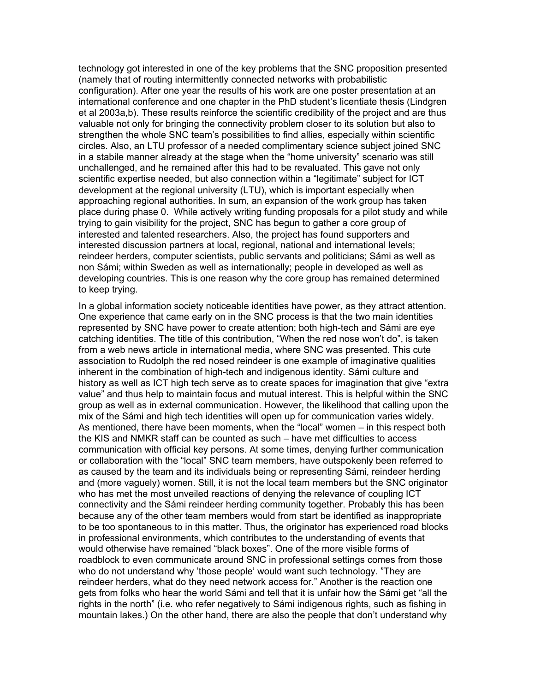technology got interested in one of the key problems that the SNC proposition presented (namely that of routing intermittently connected networks with probabilistic configuration). After one year the results of his work are one poster presentation at an international conference and one chapter in the PhD student's licentiate thesis (Lindgren et al 2003a,b). These results reinforce the scientific credibility of the project and are thus valuable not only for bringing the connectivity problem closer to its solution but also to strengthen the whole SNC team's possibilities to find allies, especially within scientific circles. Also, an LTU professor of a needed complimentary science subject joined SNC in a stabile manner already at the stage when the "home university" scenario was still unchallenged, and he remained after this had to be revaluated. This gave not only scientific expertise needed, but also connection within a "legitimate" subject for ICT development at the regional university (LTU), which is important especially when approaching regional authorities. In sum, an expansion of the work group has taken place during phase 0. While actively writing funding proposals for a pilot study and while trying to gain visibility for the project, SNC has begun to gather a core group of interested and talented researchers. Also, the project has found supporters and interested discussion partners at local, regional, national and international levels; reindeer herders, computer scientists, public servants and politicians; Sámi as well as non Sámi; within Sweden as well as internationally; people in developed as well as developing countries. This is one reason why the core group has remained determined to keep trying.

In a global information society noticeable identities have power, as they attract attention. One experience that came early on in the SNC process is that the two main identities represented by SNC have power to create attention; both high-tech and Sámi are eye catching identities. The title of this contribution, "When the red nose won't do", is taken from a web news article in international media, where SNC was presented. This cute association to Rudolph the red nosed reindeer is one example of imaginative qualities inherent in the combination of high-tech and indigenous identity. Sámi culture and history as well as ICT high tech serve as to create spaces for imagination that give "extra value" and thus help to maintain focus and mutual interest. This is helpful within the SNC group as well as in external communication. However, the likelihood that calling upon the mix of the Sámi and high tech identities will open up for communication varies widely. As mentioned, there have been moments, when the "local" women – in this respect both the KIS and NMKR staff can be counted as such – have met difficulties to access communication with official key persons. At some times, denying further communication or collaboration with the "local" SNC team members, have outspokenly been referred to as caused by the team and its individuals being or representing Sámi, reindeer herding and (more vaguely) women. Still, it is not the local team members but the SNC originator who has met the most unveiled reactions of denying the relevance of coupling ICT connectivity and the Sámi reindeer herding community together. Probably this has been because any of the other team members would from start be identified as inappropriate to be too spontaneous to in this matter. Thus, the originator has experienced road blocks in professional environments, which contributes to the understanding of events that would otherwise have remained "black boxes". One of the more visible forms of roadblock to even communicate around SNC in professional settings comes from those who do not understand why 'those people' would want such technology. "They are reindeer herders, what do they need network access for." Another is the reaction one gets from folks who hear the world Sámi and tell that it is unfair how the Sámi get "all the rights in the north" (i.e. who refer negatively to Sámi indigenous rights, such as fishing in mountain lakes.) On the other hand, there are also the people that don't understand why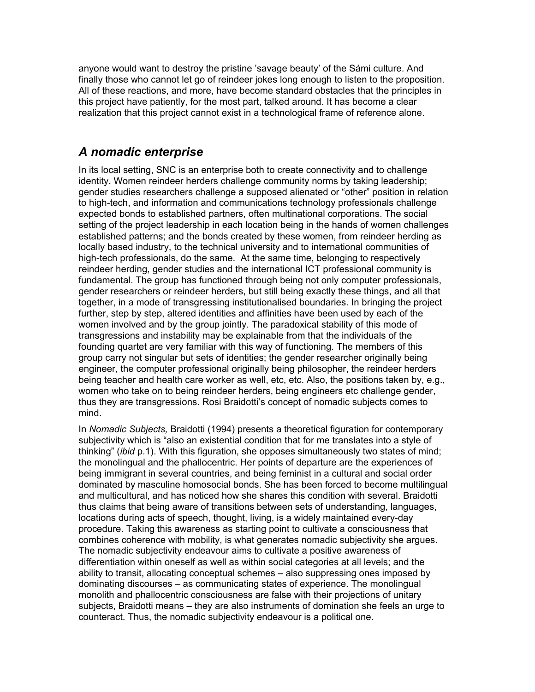anyone would want to destroy the pristine 'savage beauty' of the Sámi culture. And finally those who cannot let go of reindeer jokes long enough to listen to the proposition. All of these reactions, and more, have become standard obstacles that the principles in this project have patiently, for the most part, talked around. It has become a clear realization that this project cannot exist in a technological frame of reference alone.

## *A nomadic enterprise*

In its local setting, SNC is an enterprise both to create connectivity and to challenge identity. Women reindeer herders challenge community norms by taking leadership; gender studies researchers challenge a supposed alienated or "other" position in relation to high-tech, and information and communications technology professionals challenge expected bonds to established partners, often multinational corporations. The social setting of the project leadership in each location being in the hands of women challenges established patterns; and the bonds created by these women, from reindeer herding as locally based industry, to the technical university and to international communities of high-tech professionals, do the same. At the same time, belonging to respectively reindeer herding, gender studies and the international ICT professional community is fundamental. The group has functioned through being not only computer professionals, gender researchers or reindeer herders, but still being exactly these things, and all that together, in a mode of transgressing institutionalised boundaries. In bringing the project further, step by step, altered identities and affinities have been used by each of the women involved and by the group jointly. The paradoxical stability of this mode of transgressions and instability may be explainable from that the individuals of the founding quartet are very familiar with this way of functioning. The members of this group carry not singular but sets of identities; the gender researcher originally being engineer, the computer professional originally being philosopher, the reindeer herders being teacher and health care worker as well, etc, etc. Also, the positions taken by, e.g., women who take on to being reindeer herders, being engineers etc challenge gender, thus they are transgressions. Rosi Braidotti's concept of nomadic subjects comes to mind.

In *Nomadic Subjects,* Braidotti (1994) presents a theoretical figuration for contemporary subjectivity which is "also an existential condition that for me translates into a style of thinking" (*ibid* p.1). With this figuration, she opposes simultaneously two states of mind; the monolingual and the phallocentric. Her points of departure are the experiences of being immigrant in several countries, and being feminist in a cultural and social order dominated by masculine homosocial bonds. She has been forced to become multilingual and multicultural, and has noticed how she shares this condition with several. Braidotti thus claims that being aware of transitions between sets of understanding, languages, locations during acts of speech, thought, living, is a widely maintained every-day procedure. Taking this awareness as starting point to cultivate a consciousness that combines coherence with mobility, is what generates nomadic subjectivity she argues. The nomadic subjectivity endeavour aims to cultivate a positive awareness of differentiation within oneself as well as within social categories at all levels; and the ability to transit, allocating conceptual schemes – also suppressing ones imposed by dominating discourses – as communicating states of experience. The monolingual monolith and phallocentric consciousness are false with their projections of unitary subjects, Braidotti means – they are also instruments of domination she feels an urge to counteract. Thus, the nomadic subjectivity endeavour is a political one.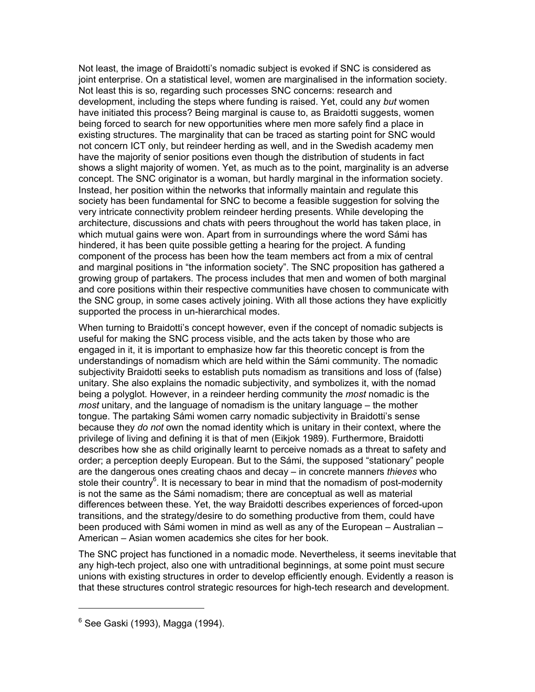Not least, the image of Braidotti's nomadic subject is evoked if SNC is considered as joint enterprise. On a statistical level, women are marginalised in the information society. Not least this is so, regarding such processes SNC concerns: research and development, including the steps where funding is raised. Yet, could any *but* women have initiated this process? Being marginal is cause to, as Braidotti suggests, women being forced to search for new opportunities where men more safely find a place in existing structures. The marginality that can be traced as starting point for SNC would not concern ICT only, but reindeer herding as well, and in the Swedish academy men have the majority of senior positions even though the distribution of students in fact shows a slight majority of women. Yet, as much as to the point, marginality is an adverse concept. The SNC originator is a woman, but hardly marginal in the information society. Instead, her position within the networks that informally maintain and regulate this society has been fundamental for SNC to become a feasible suggestion for solving the very intricate connectivity problem reindeer herding presents. While developing the architecture, discussions and chats with peers throughout the world has taken place, in which mutual gains were won. Apart from in surroundings where the word Sámi has hindered, it has been quite possible getting a hearing for the project. A funding component of the process has been how the team members act from a mix of central and marginal positions in "the information society". The SNC proposition has gathered a growing group of partakers. The process includes that men and women of both marginal and core positions within their respective communities have chosen to communicate with the SNC group, in some cases actively joining. With all those actions they have explicitly supported the process in un-hierarchical modes.

When turning to Braidotti's concept however, even if the concept of nomadic subjects is useful for making the SNC process visible, and the acts taken by those who are engaged in it, it is important to emphasize how far this theoretic concept is from the understandings of nomadism which are held within the Sámi community. The nomadic subjectivity Braidotti seeks to establish puts nomadism as transitions and loss of (false) unitary. She also explains the nomadic subjectivity, and symbolizes it, with the nomad being a polyglot. However, in a reindeer herding community the *most* nomadic is the *most* unitary, and the language of nomadism is the unitary language – the mother tongue. The partaking Sámi women carry nomadic subjectivity in Braidotti's sense because they *do not* own the nomad identity which is unitary in their context, where the privilege of living and defining it is that of men (Eikjok 1989). Furthermore, Braidotti describes how she as child originally learnt to perceive nomads as a threat to safety and order; a perception deeply European. But to the Sámi, the supposed "stationary" people are the dangerous ones creating chaos and decay – in concrete manners *thieves* who stole their country<sup>6</sup>. It is necessary to bear in mind that the nomadism of post-modernity is not the same as the Sámi nomadism; there are conceptual as well as material differences between these. Yet, the way Braidotti describes experiences of forced-upon transitions, and the strategy/desire to do something productive from them, could have been produced with Sámi women in mind as well as any of the European – Australian – American – Asian women academics she cites for her book.

The SNC project has functioned in a nomadic mode. Nevertheless, it seems inevitable that any high-tech project, also one with untraditional beginnings, at some point must secure unions with existing structures in order to develop efficiently enough. Evidently a reason is that these structures control strategic resources for high-tech research and development.

<sup>6</sup> See Gaski (1993), Magga (1994).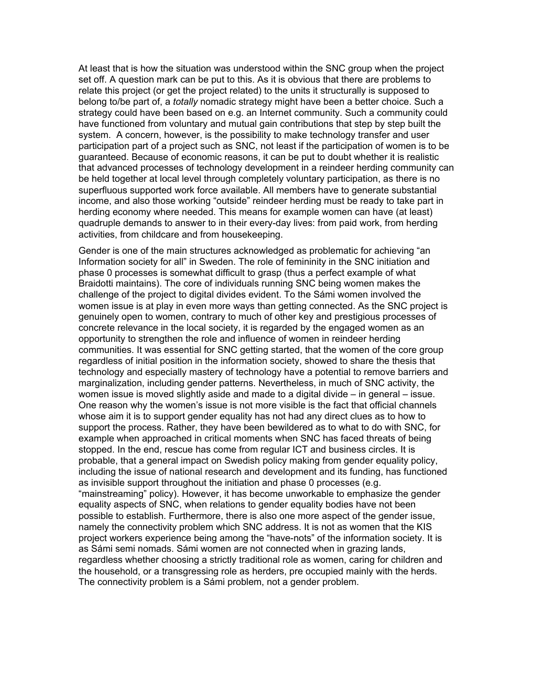At least that is how the situation was understood within the SNC group when the project set off. A question mark can be put to this. As it is obvious that there are problems to relate this project (or get the project related) to the units it structurally is supposed to belong to/be part of, a *totally* nomadic strategy might have been a better choice. Such a strategy could have been based on e.g. an Internet community. Such a community could have functioned from voluntary and mutual gain contributions that step by step built the system. A concern, however, is the possibility to make technology transfer and user participation part of a project such as SNC, not least if the participation of women is to be guaranteed. Because of economic reasons, it can be put to doubt whether it is realistic that advanced processes of technology development in a reindeer herding community can be held together at local level through completely voluntary participation, as there is no superfluous supported work force available. All members have to generate substantial income, and also those working "outside" reindeer herding must be ready to take part in herding economy where needed. This means for example women can have (at least) quadruple demands to answer to in their every-day lives: from paid work, from herding activities, from childcare and from housekeeping.

Gender is one of the main structures acknowledged as problematic for achieving "an Information society for all" in Sweden. The role of femininity in the SNC initiation and phase 0 processes is somewhat difficult to grasp (thus a perfect example of what Braidotti maintains). The core of individuals running SNC being women makes the challenge of the project to digital divides evident. To the Sámi women involved the women issue is at play in even more ways than getting connected. As the SNC project is genuinely open to women, contrary to much of other key and prestigious processes of concrete relevance in the local society, it is regarded by the engaged women as an opportunity to strengthen the role and influence of women in reindeer herding communities. It was essential for SNC getting started, that the women of the core group regardless of initial position in the information society, showed to share the thesis that technology and especially mastery of technology have a potential to remove barriers and marginalization, including gender patterns. Nevertheless, in much of SNC activity, the women issue is moved slightly aside and made to a digital divide – in general – issue. One reason why the women's issue is not more visible is the fact that official channels whose aim it is to support gender equality has not had any direct clues as to how to support the process. Rather, they have been bewildered as to what to do with SNC, for example when approached in critical moments when SNC has faced threats of being stopped. In the end, rescue has come from regular ICT and business circles. It is probable, that a general impact on Swedish policy making from gender equality policy, including the issue of national research and development and its funding, has functioned as invisible support throughout the initiation and phase 0 processes (e.g. "mainstreaming" policy). However, it has become unworkable to emphasize the gender equality aspects of SNC, when relations to gender equality bodies have not been possible to establish. Furthermore, there is also one more aspect of the gender issue, namely the connectivity problem which SNC address. It is not as women that the KIS project workers experience being among the "have-nots" of the information society. It is as Sámi semi nomads. Sámi women are not connected when in grazing lands, regardless whether choosing a strictly traditional role as women, caring for children and the household, or a transgressing role as herders, pre occupied mainly with the herds. The connectivity problem is a Sámi problem, not a gender problem.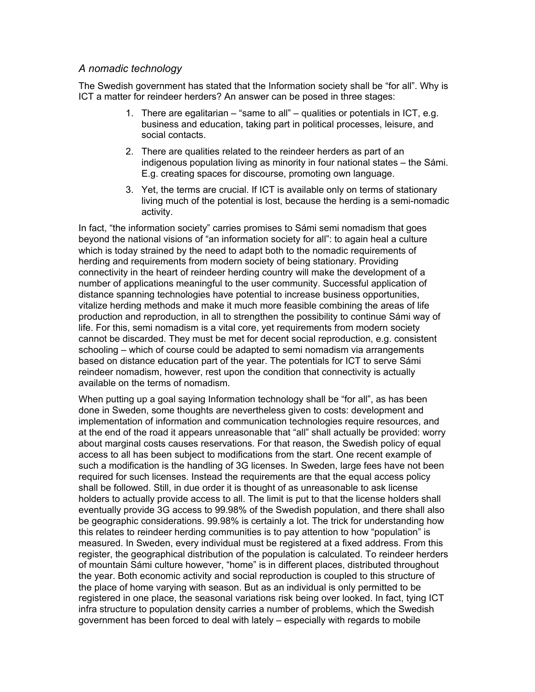### *A nomadic technology*

The Swedish government has stated that the Information society shall be "for all". Why is ICT a matter for reindeer herders? An answer can be posed in three stages:

- 1. There are egalitarian "same to all" qualities or potentials in ICT, e.g. business and education, taking part in political processes, leisure, and social contacts.
- 2. There are qualities related to the reindeer herders as part of an indigenous population living as minority in four national states – the Sámi. E.g. creating spaces for discourse, promoting own language.
- 3. Yet, the terms are crucial. If ICT is available only on terms of stationary living much of the potential is lost, because the herding is a semi-nomadic activity.

In fact, "the information society" carries promises to Sámi semi nomadism that goes beyond the national visions of "an information society for all": to again heal a culture which is today strained by the need to adapt both to the nomadic requirements of herding and requirements from modern society of being stationary. Providing connectivity in the heart of reindeer herding country will make the development of a number of applications meaningful to the user community. Successful application of distance spanning technologies have potential to increase business opportunities, vitalize herding methods and make it much more feasible combining the areas of life production and reproduction, in all to strengthen the possibility to continue Sámi way of life. For this, semi nomadism is a vital core, yet requirements from modern society cannot be discarded. They must be met for decent social reproduction, e.g. consistent schooling – which of course could be adapted to semi nomadism via arrangements based on distance education part of the year. The potentials for ICT to serve Sámi reindeer nomadism, however, rest upon the condition that connectivity is actually available on the terms of nomadism.

When putting up a goal saying Information technology shall be "for all", as has been done in Sweden, some thoughts are nevertheless given to costs: development and implementation of information and communication technologies require resources, and at the end of the road it appears unreasonable that "all" shall actually be provided: worry about marginal costs causes reservations. For that reason, the Swedish policy of equal access to all has been subject to modifications from the start. One recent example of such a modification is the handling of 3G licenses. In Sweden, large fees have not been required for such licenses. Instead the requirements are that the equal access policy shall be followed. Still, in due order it is thought of as unreasonable to ask license holders to actually provide access to all. The limit is put to that the license holders shall eventually provide 3G access to 99.98% of the Swedish population, and there shall also be geographic considerations. 99.98% is certainly a lot. The trick for understanding how this relates to reindeer herding communities is to pay attention to how "population" is measured. In Sweden, every individual must be registered at a fixed address. From this register, the geographical distribution of the population is calculated. To reindeer herders of mountain Sámi culture however, "home" is in different places, distributed throughout the year. Both economic activity and social reproduction is coupled to this structure of the place of home varying with season. But as an individual is only permitted to be registered in one place, the seasonal variations risk being over looked. In fact, tying ICT infra structure to population density carries a number of problems, which the Swedish government has been forced to deal with lately – especially with regards to mobile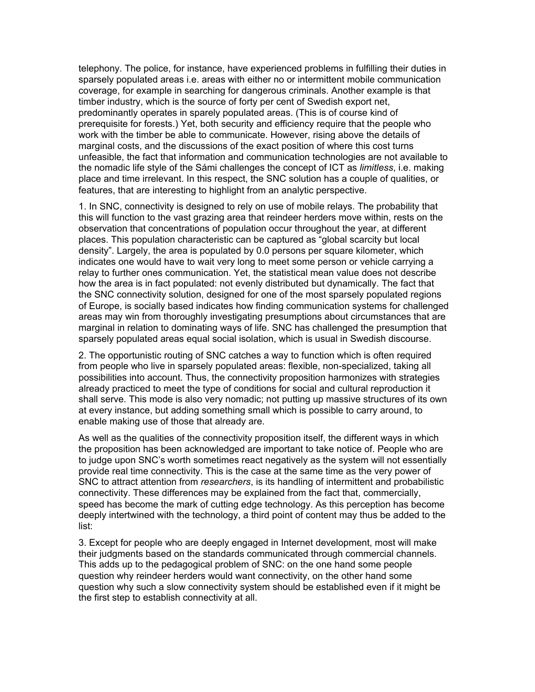telephony. The police, for instance, have experienced problems in fulfilling their duties in sparsely populated areas i.e. areas with either no or intermittent mobile communication coverage, for example in searching for dangerous criminals. Another example is that timber industry, which is the source of forty per cent of Swedish export net, predominantly operates in sparely populated areas. (This is of course kind of prerequisite for forests.) Yet, both security and efficiency require that the people who work with the timber be able to communicate. However, rising above the details of marginal costs, and the discussions of the exact position of where this cost turns unfeasible, the fact that information and communication technologies are not available to the nomadic life style of the Sámi challenges the concept of ICT as *limitless*, i.e. making place and time irrelevant. In this respect, the SNC solution has a couple of qualities, or features, that are interesting to highlight from an analytic perspective.

1. In SNC, connectivity is designed to rely on use of mobile relays. The probability that this will function to the vast grazing area that reindeer herders move within, rests on the observation that concentrations of population occur throughout the year, at different places. This population characteristic can be captured as "global scarcity but local density". Largely, the area is populated by 0.0 persons per square kilometer, which indicates one would have to wait very long to meet some person or vehicle carrying a relay to further ones communication. Yet, the statistical mean value does not describe how the area is in fact populated: not evenly distributed but dynamically. The fact that the SNC connectivity solution, designed for one of the most sparsely populated regions of Europe, is socially based indicates how finding communication systems for challenged areas may win from thoroughly investigating presumptions about circumstances that are marginal in relation to dominating ways of life. SNC has challenged the presumption that sparsely populated areas equal social isolation, which is usual in Swedish discourse.

2. The opportunistic routing of SNC catches a way to function which is often required from people who live in sparsely populated areas: flexible, non-specialized, taking all possibilities into account. Thus, the connectivity proposition harmonizes with strategies already practiced to meet the type of conditions for social and cultural reproduction it shall serve. This mode is also very nomadic; not putting up massive structures of its own at every instance, but adding something small which is possible to carry around, to enable making use of those that already are.

As well as the qualities of the connectivity proposition itself, the different ways in which the proposition has been acknowledged are important to take notice of. People who are to judge upon SNC's worth sometimes react negatively as the system will not essentially provide real time connectivity. This is the case at the same time as the very power of SNC to attract attention from *researchers*, is its handling of intermittent and probabilistic connectivity. These differences may be explained from the fact that, commercially, speed has become the mark of cutting edge technology. As this perception has become deeply intertwined with the technology, a third point of content may thus be added to the list:

3. Except for people who are deeply engaged in Internet development, most will make their judgments based on the standards communicated through commercial channels. This adds up to the pedagogical problem of SNC: on the one hand some people question why reindeer herders would want connectivity, on the other hand some question why such a slow connectivity system should be established even if it might be the first step to establish connectivity at all.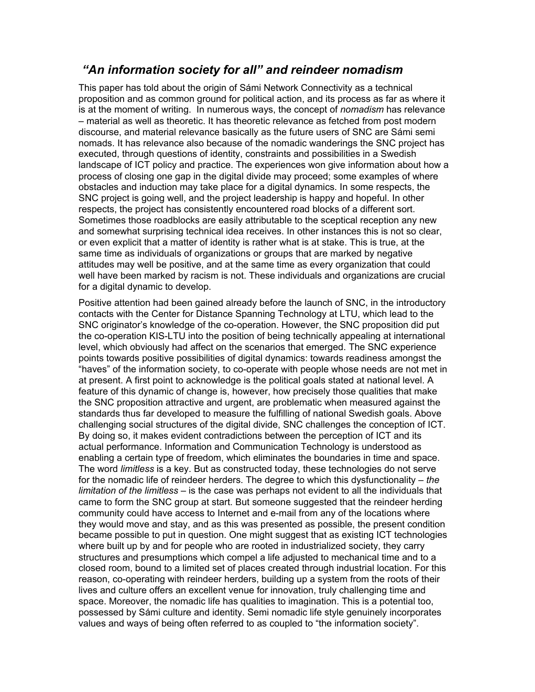### *"An information society for all" and reindeer nomadism*

This paper has told about the origin of Sámi Network Connectivity as a technical proposition and as common ground for political action, and its process as far as where it is at the moment of writing. In numerous ways, the concept of *nomadism* has relevance – material as well as theoretic. It has theoretic relevance as fetched from post modern discourse, and material relevance basically as the future users of SNC are Sámi semi nomads. It has relevance also because of the nomadic wanderings the SNC project has executed, through questions of identity, constraints and possibilities in a Swedish landscape of ICT policy and practice. The experiences won give information about how a process of closing one gap in the digital divide may proceed; some examples of where obstacles and induction may take place for a digital dynamics. In some respects, the SNC project is going well, and the project leadership is happy and hopeful. In other respects, the project has consistently encountered road blocks of a different sort. Sometimes those roadblocks are easily attributable to the sceptical reception any new and somewhat surprising technical idea receives. In other instances this is not so clear, or even explicit that a matter of identity is rather what is at stake. This is true, at the same time as individuals of organizations or groups that are marked by negative attitudes may well be positive, and at the same time as every organization that could well have been marked by racism is not. These individuals and organizations are crucial for a digital dynamic to develop.

Positive attention had been gained already before the launch of SNC, in the introductory contacts with the Center for Distance Spanning Technology at LTU, which lead to the SNC originator's knowledge of the co-operation. However, the SNC proposition did put the co-operation KIS-LTU into the position of being technically appealing at international level, which obviously had affect on the scenarios that emerged. The SNC experience points towards positive possibilities of digital dynamics: towards readiness amongst the "haves" of the information society, to co-operate with people whose needs are not met in at present. A first point to acknowledge is the political goals stated at national level. A feature of this dynamic of change is, however, how precisely those qualities that make the SNC proposition attractive and urgent, are problematic when measured against the standards thus far developed to measure the fulfilling of national Swedish goals. Above challenging social structures of the digital divide, SNC challenges the conception of ICT. By doing so, it makes evident contradictions between the perception of ICT and its actual performance. Information and Communication Technology is understood as enabling a certain type of freedom, which eliminates the boundaries in time and space. The word *limitless* is a key. But as constructed today, these technologies do not serve for the nomadic life of reindeer herders. The degree to which this dysfunctionality – *the limitation of the limitless* – is the case was perhaps not evident to all the individuals that came to form the SNC group at start. But someone suggested that the reindeer herding community could have access to Internet and e-mail from any of the locations where they would move and stay, and as this was presented as possible, the present condition became possible to put in question. One might suggest that as existing ICT technologies where built up by and for people who are rooted in industrialized society, they carry structures and presumptions which compel a life adjusted to mechanical time and to a closed room, bound to a limited set of places created through industrial location. For this reason, co-operating with reindeer herders, building up a system from the roots of their lives and culture offers an excellent venue for innovation, truly challenging time and space. Moreover, the nomadic life has qualities to imagination. This is a potential too, possessed by Sámi culture and identity. Semi nomadic life style genuinely incorporates values and ways of being often referred to as coupled to "the information society".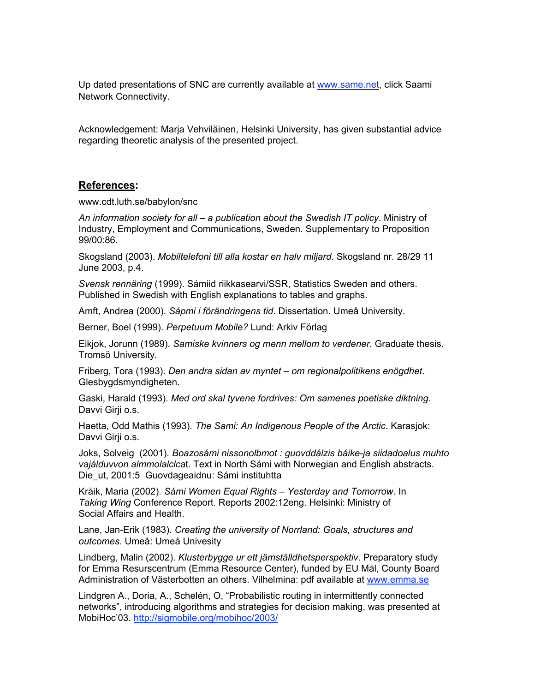Up dated presentations of SNC are currently available at www.same.net, click Saami Network Connectivity.

Acknowledgement: Marja Vehviläinen, Helsinki University, has given substantial advice regarding theoretic analysis of the presented project.

#### **References:**

www.cdt.luth.se/babylon/snc

*An information society for all – a publication about the Swedish IT policy*. Ministry of Industry, Employment and Communications, Sweden. Supplementary to Proposition 99/00:86.

Skogsland (2003). *Mobiltelefoni till alla kostar en halv miljard*. Skogsland nr. 28/29 11 June 2003, p.4.

*Svensk rennäring* (1999). Sámiid riikkasearvi/SSR, Statistics Sweden and others. Published in Swedish with English explanations to tables and graphs.

Amft, Andrea (2000). *Sápmi i förändringens tid*. Dissertation. Umeå University.

Berner, Boel (1999). *Perpetuum Mobile?* Lund: Arkiv Förlag

Eikjok, Jorunn (1989). *Samiske kvinners og menn mellom to verdener.* Graduate thesis. Tromsö University.

Friberg, Tora (1993). *Den andra sidan av myntet – om regionalpolitikens enögdhet*. Glesbygdsmyndigheten.

Gaski, Harald (1993). *Med ord skal tyvene fordrives: Om samenes poetiske diktning.* Davvi Girji o.s.

Haetta, Odd Mathis (1993). *The Sami: An Indigenous People of the Arctic*. Karasjok: Davvi Girji o.s.

Joks, Solveig (2001). *Boazosámi nissonolbmot : guovddálzis báike-ja siidadoalus muhto vajálduvvon almmolalclca*t. Text in North Sámi with Norwegian and English abstracts. Die ut, 2001:5 Guovdageaidnu: Sámi instituhtta

Kråik, Maria (2002). *Sámi Women Equal Rights – Yesterday and Tomorrow*. In *Taking Wing* Conference Report. Reports 2002:12eng. Helsinki: Ministry of Social Affairs and Health.

Lane, Jan-Erik (1983). *Creating the university of Norrland: Goals, structures and outcomes*. Umeå: Umeå Univesity

Lindberg, Malin (2002). *Klusterbygge ur ett jämställdhetsperspektiv*. Preparatory study for Emma Resurscentrum (Emma Resource Center), funded by EU Mål, County Board Administration of Västerbotten an others. Vilhelmina: pdf available at www.emma.se

Lindgren A., Doria, A., Schelén, O, "Probabilistic routing in intermittently connected networks", introducing algorithms and strategies for decision making, was presented at MobiHoc'03. http://sigmobile.org/mobihoc/2003/